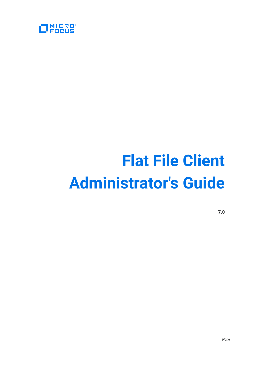

# **Flat File Client Administrator's Guide**

**7.0**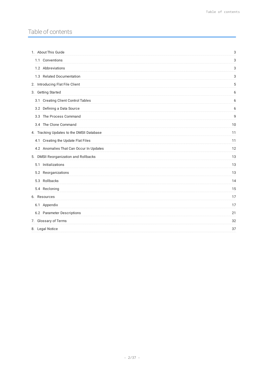# Table of contents

| 3  |
|----|
| 3  |
| 3  |
| 3  |
| 5  |
| 6  |
| 6  |
| 6  |
| 9  |
| 10 |
| 11 |
| 11 |
| 12 |
| 13 |
| 13 |
| 13 |
| 14 |
| 15 |
| 17 |
| 17 |
| 21 |
| 32 |
| 37 |
|    |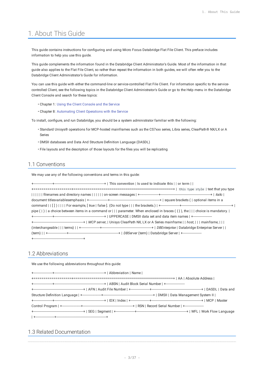# <span id="page-2-0"></span>1. About This Guide

This guide contains instructions for configuring and using Micro Focus Databridge Flat File Client. This preface includes information to help you use this guide.

This guide complements the information found in the Databridge Client Administrator's Guide. Most of the information in that guide also applies to the Flat File Client, so rather than repeat the information in both guides, we will often refer you to the Databridge Client Administrator's Guide for information.

You can use this guide with either the command-line or service-controlled Flat File Client. For information specific to the servicecontrolled Client, see the following topics in the Databridge Client Administrator's Guide or go to the Help menu in the Databridge Client Console and search for these topics:

- Chapter 1: Using the Client Console and the Service •
- Chapter 8: Automating Client Operations with the Service •

To install, configure, and run Databridge, you should be a system administrator familiar with the following:

- $\cdot$  Standard Unisys® operations for MCP-hosted mainframes such as the CS7xxx series, Libra series, ClearPath® NX/LX or A Series
- DMSII databases and Data And Structure Definition Language (DASDL) •
- File layouts and the description of those layouts for the files you will be replicating

# <span id="page-2-1"></span>1.1 Conventions

We may use any of the following conventions and terms in this guide:

| pipe $( \   )$ a choice between items in a command or $  \  $ parameter. When enclosed in braces $( \{ \} )$ , the $  \  $ choice is mandatory. |
|-------------------------------------------------------------------------------------------------------------------------------------------------|
|                                                                                                                                                 |
|                                                                                                                                                 |
|                                                                                                                                                 |
|                                                                                                                                                 |
|                                                                                                                                                 |

# <span id="page-2-2"></span>1.2 Abbreviations

We use the following abbreviations throughout this guide:

# <span id="page-2-3"></span>1.3 Related Documentation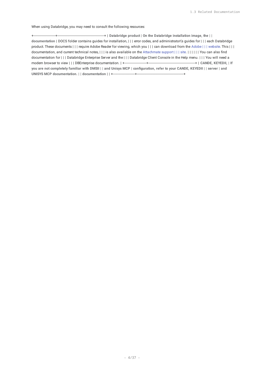When using Databridge, you may need to consult the following resources:

+----------------------+-----------------------------------------------+ | **Databridge product | On the Databridge installation image, the | | documentation** | DOCS folder contains guides for installation, | | | error codes, and administrator\'s guides for | | | each Databridge product. These documents | | | require Adobe Reader for viewing, which you | | | can download from the [Adobe | | | website](http://get.adobe.com/reader/). This | | | documentation, and current technical notes, | | | is also available on the [Attachmate support | | | site](http://support.attachmate.com/manuals/databridge.html). | | | | | | You can also find documentation for | | | Databridge Enterprise Server and the | | | Databridge Client Console in the Help menu. | | | You will need a modern browser to view | | | DBEnterprise documentation. | +----------------------+-----------------------------------------------+ | **CANDE, KEYEDII, | If you are not completely familiar with DMSII | | and Unisys MCP | configuration, refer to your CANDE, KEYEDII | | server | and UNISYS MCP documentation. | | documentation** | | +----------------------+-----------------------------------------------+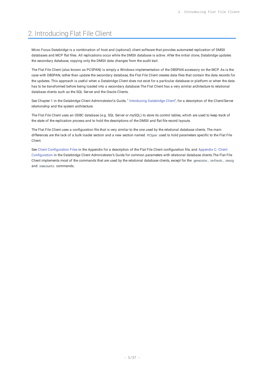# <span id="page-4-0"></span>2. Introducing Flat File Client

Micro Focus Databridge is a combination of host and (optional) client software that provides automated replication of DMSII databases and MCP flat files. All replications occur while the DMSII database is active. After the initial clone, Databridge updates the secondary database, copying only the DMSII data changes from the audit trail.

The Flat File Client (also known as PCSPAN) is simply a Windows implementation of the DBSPAN accessory on the MCP. As is the case with DBSPAN, rather than update the secondary database, the Flat File Client creates data files that contain the data records for the updates. This approach is useful when a Databridge Client does not exist for a particular database or platform or when the data has to be transformed before being loaded into a secondary database.The Flat Client has a very similar architecture to relational database clients such as the SQL Server and the Oracle Clients.

See Chapter 1 in the Databridge Client Administrator\'s Guide, " [Introducing Databridge Client"](https://www.attachmate.com/documentation/databridge-70/client-admin/data/t_22900.html#t_22900), for a description of the Client/Server relationship and the system architecture.

The Flat File Client uses an ODBC database (e.g. SQL Server or mySQL) to store its control tables, which are used to keep track of the state of the replication process and to hold the descriptions of the DMSII and flat file record layouts.

The Flat File Client uses a configuration file that is very similar to the one used by the relational database clients. The main differences are the lack of a bulk loader section and a new section named PCSpan used to hold parameters specific to the Flat File Client.

See Client Configuration Files in the Appendix for a description of the Flat File Client configuration file, and Appendix C: Client Configuration in the Databridge Client Administrator's Guide for common parameters with relational database clients.The Flat File Client implements most of the commands that are used by the relational database clients, except for the generate , refresh , reorg and rowcounts commands..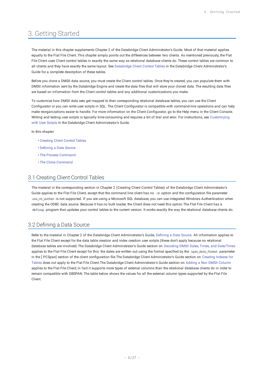# <span id="page-5-0"></span>3. Getting Started

The material in this chapter supplements Chapter 2 of the Databridge Client Administrator's Guide. Most of that material applies equally to the Flat File Client. This chapter simply points out the differences between two clients. As mentioned previously, the Flat File Client uses Client control tables in exactly the same way as relational database clients do. These control tables are common to all clients and they have exactly the same layout. See Databridge Client Control Tables in the Databridge Client Administrator's Guide for a complete description of these tables.

Before you clone a DMSII data source, you must create the Client control tables. Once they're created, you can populate them with DMSII information sent by the Databridge Engine and create the data files that will store your cloned data. The resulting data files are based on information from the Client control tables and any additional customizations you make.

To customize how DMSII data sets get mapped to their corresponding relational database tables, you can use the Client Configurator or you can write user scripts in SQL. The Client Configurator is compatible with command-line operations and can help make reorganizations easier to handle. For more information on the Client Configurator, go to the Help menu in the Client Console. Writing and testing user scripts is typically time-consuming and requires a bit of trial and error. For instructions, see Customizing with User Scripts in the Databridge Client Administrator's Guide.

**In this chapter**

- [Creating Client Control Tables](#page-5-1) •
- Defi[ning a Data Source](#page-5-2) •
- [The Process Command](#page-8-0) •
- [The Clone Command](#page-9-0) •

# <span id="page-5-1"></span>3.1 Creating Client Control Tables

The material in the corresponding section in Chapter 2 (Creating Client Control Tables) of the Databridge Client Administrator's Guide applies to the Flat File Client, except that the command line client has no -W option and the configuration file parameter use\_nt\_authen is not supported. If you are using a Microsoft SQL database, you can use integrated Windows Authentication when creating the ODBC data source. Because it has no bulk loader, the Client does not need this option.The Flat File Client has a dbfixup program that updates your control tables to the current version. It works exactly the way the relational database clients do.

# <span id="page-5-2"></span>3.2 Defining a Data Source

Refer to the material in Chapter 2 of the Databridge Client Administrator's Guide, Defining a Data Source. All information applies to the Flat File Client except for the data table creation and index creation user scripts (these don't apply because no relational database tables are involved).The Databridge Client Administrator's Guide section on Decoding DMSII Dates, Times, and Date/Times applies to the Flat File Client except for this: the dates are written out using the format specified by the span\_date\_format parameter in the [ PCSpan] section of the client configuration file.The Databridge Client Administrator's Guide section on Creating Indexes for Tables does *not* apply to the Flat File Client.The Databridge Client Administrator's Guide section on Adding a Non DMSII Column applies to the Flat File Client; in fact it supports more types of external columns than the relational database clients do in order to remain compatible with DBSPAN. The table below shows the values for all the external column types supported by the Flat File Client.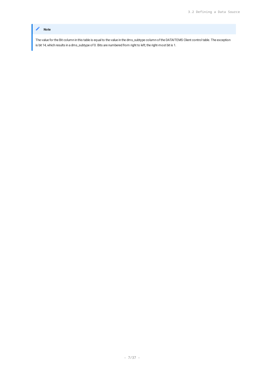### **Note**

The value for the Bit column in this table is equal to the value in the dms\_subtype column of the DATAITEMS Client control table. The exception is bit 14, which results in a dms\_subtype of 0. Bits are numbered from right to left; the right-most bit is 1.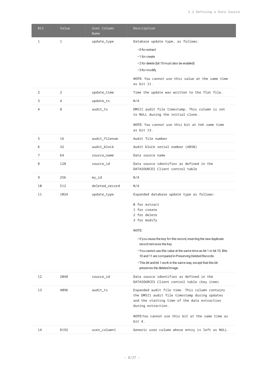| <b>Bit</b> | Value        | User Column<br>Name | Description                                                                                                                                                           |  |
|------------|--------------|---------------------|-----------------------------------------------------------------------------------------------------------------------------------------------------------------------|--|
| 1          | $\mathbf{1}$ | update_type         | Database update type, as follows:                                                                                                                                     |  |
|            |              |                     | • 0 for extract                                                                                                                                                       |  |
|            |              |                     | ∙1 for create                                                                                                                                                         |  |
|            |              |                     | · 2 for delete (bit 10 must also be enabled)                                                                                                                          |  |
|            |              |                     | • 3 for modify                                                                                                                                                        |  |
|            |              |                     | NOTE: You cannot use this value at the same time<br>as bit 11.                                                                                                        |  |
| 2          | 2            | update_time         | Time the update was written to the flat file.                                                                                                                         |  |
| 3          | 4            | update_ts           | N/A                                                                                                                                                                   |  |
| 4          | 8            | audit_ts            | DMSII audit file timestamp. This column is set<br>to NULL during the initial clone.                                                                                   |  |
|            |              |                     | NOTE: You cannot use this bit at teh same time<br>as bit 13.                                                                                                          |  |
| 5          | 16           | audit_filenum       | Audit file number                                                                                                                                                     |  |
| 6          | 32           | audit_block         | Audit block serial number (ABSN)                                                                                                                                      |  |
| 7          | 64           | source_name         | Data source name                                                                                                                                                      |  |
| 8          | 128          | source_id           | Data source identifier as defined in the<br>DATASOURCES Client control table                                                                                          |  |
| 9          | 256          | my_id               | N/A                                                                                                                                                                   |  |
| 10         | 512          | deleted_record      | N/A                                                                                                                                                                   |  |
| 11         | 1024         | update_type         | Expanded database update type as follows:                                                                                                                             |  |
|            |              |                     | 0 for extract                                                                                                                                                         |  |
|            |              |                     | 1 for create                                                                                                                                                          |  |
|            |              |                     | 2 for delete                                                                                                                                                          |  |
|            |              |                     | 3 for modify                                                                                                                                                          |  |
|            |              |                     | NOTE:                                                                                                                                                                 |  |
|            |              |                     | . If you reuse the key for this record, inserting the new duplicate<br>record removes the key.                                                                        |  |
|            |              |                     | • You cannot use this value at the same time as bit 1 or bit 10. Bits<br>10 and 11 are compared in Preserving Deleted Records.                                        |  |
|            |              |                     | . This bit and bit 1 work in the same way, except that this bit<br>preserves the deleted image.                                                                       |  |
| 12         | 2048         | source_id           | Data source identifier as defined in the<br>DATASOURCES Client control table (key item)                                                                               |  |
| 13         | 4096         | audit_ts            | Expanded audit file time. This column contains<br>the DMSII audit file timestamp during updates<br>and the starting time of the data extraction<br>during extraction. |  |
|            |              |                     | NOTE: You cannot use this bit at the same time as<br>bit 4.                                                                                                           |  |
| 14         | 8192         | user_column1        | Generic user column whose entry is left as NULL.                                                                                                                      |  |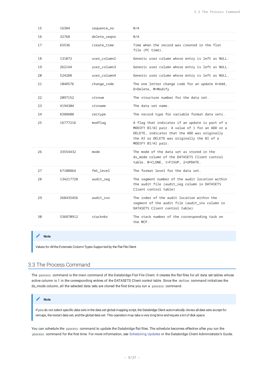| 15 | 16384     | sequence_no  | N/A                                                                                                                                                                                                                      |
|----|-----------|--------------|--------------------------------------------------------------------------------------------------------------------------------------------------------------------------------------------------------------------------|
| 16 | 32768     | delete_segno | N/A                                                                                                                                                                                                                      |
| 17 | 65536     | create_time  | Time when the record was created in the flat<br>file (PC time).                                                                                                                                                          |
| 18 | 131072    | user column2 | Generic user column whose entry is left as NULL.                                                                                                                                                                         |
| 19 | 262144    | user_column3 | Generic user column whose entry is left as NULL.                                                                                                                                                                         |
| 20 | 524288    | user_column4 | Generic user column whose entry is left as NULL.                                                                                                                                                                         |
| 21 | 1048576   | change_code  | The one letter change code for an update A=Add,<br>D=Delete, M=Modify                                                                                                                                                    |
| 22 | 2097152   | strnum       | The structure number for the data set.                                                                                                                                                                                   |
| 23 | 4194304   | strname      | The data set name.                                                                                                                                                                                                       |
| 24 | 8388608   | rectype      | The record type for variable format data sets.                                                                                                                                                                           |
| 25 | 16777216  | modflag      | A flag that indicates if an update is part of a<br>MODIFY BI/AI pair. A value of 1 for an ADD or a<br>DELETE, indicates that the ADD was originally<br>the AI or DELETE was originally the BI of a<br>MODIFY BI/AI pair. |
| 26 | 33554432  | mode         | The mode of the data set as stored in the<br>ds_mode column of the DATASETS Client control<br>table. 0=CLONE, 1=FIXUP, 2=UPDATE.                                                                                         |
| 27 | 67108864  | $fmt\_level$ | The format level for the data set.                                                                                                                                                                                       |
| 28 | 134217728 | audit_seq    | The segment number of the audit location within<br>the audit file (audit_seq column in DATASETS<br>Client control table)                                                                                                 |
| 29 | 268435456 | audit_inx    | The index of the audit location within the<br>segment of the audit file (audit_inx column in<br>DATASETS Client control table)                                                                                           |
| 30 | 536870912 | stacknbr     | The stack number of the corresponding task on<br>the MCP.                                                                                                                                                                |

#### **Note**

Values for All the Externals Column Types Supported by the Flat File Client

# <span id="page-8-0"></span>3.3 The Process Command

The process command is the main command of the Databridge Flat File Client. It creates the flat files for all data set tables whose active column is 1 in the corresponding entries of the DATASETS Client control table. Since the define command initializes the ds\_mode column, all the selected data sets are cloned the first time you run a process command.

#### **Note**

If you do not select specific data sets in the data set global mapping script, the Databridge Client automatically clones all data sets except for remaps, the restart data set, and the global data set. This operation may take a very long time and require a lot of disk space.

You can schedule the process command to update the Databridge flat files. The schedule becomes effective after you run the process command for the first time. For more information, see Scheduling Updates in the Databridge Client Administrator's Guide.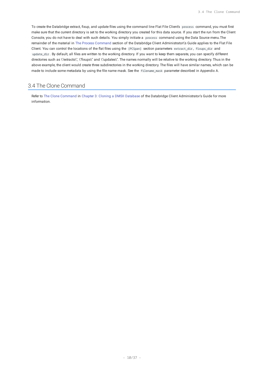To create the Databridge extract, fixup, and update files using the command line Flat File Client's process command, you must first make sure that the current directory is set to the working directory you created for this data source. If you start the run from the Client Console, you do not have to deal with such details. You simply initiate a process command using the Data Source menu.The remainder of the material in The Process Command section of the Databridge Client Administrator\'s Guide applies to the Flat File Client. You can control the locations of the flat files using the [PCSpan] section parameters extract\_dir , fixups\_dir and update\_dir . By default, all files are written to the working directory. If you want to keep them separate, you can specify different directories such as \"extracts\", \"fixups\" and \"updates\". The names normally will be relative to the working directory. Thus in the above example, the client would create three subdirectories in the working directory. The files will have similar names, which can be made to include some metadata by using the file name mask. See the filename\_mask parameter described in Appendix A.

# <span id="page-9-0"></span>3.4 The Clone Command

Refer to The Clone Command in Chapter 3: Cloning a DMSII Database of the Databridge Client Administrator's Guide for more information.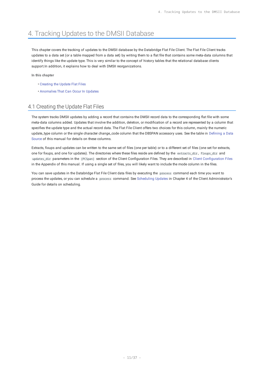# <span id="page-10-0"></span>4. Tracking Updates to the DMSII Database

This chapter covers the tracking of updates to the DMSII database by the Databridge Flat File Client. The Flat File Client tracks updates to a data set (or a table mapped from a data set) by writing them to a flat file that contains some meta-data columns that identify things like the update type. This is very similar to the concept of history tables that the relational database clients support.In addition, it explains how to deal with DMSII reorganizations.

**In this chapter**

- [Creating the Update Flat Files](#page-10-1) •
- [Anomalies That Can Occur In Updates](#page-11-0) •

# <span id="page-10-1"></span>4.1 Creating the Update Flat Files

The system tracks DMSII updates by adding a record that contains the DMSII record data to the corresponding flat file with some meta-data columns added. Updates that involve the addition, deletion, or modification of a record are represented by a column that specifies the update type and the actual record data. The Flat File Client offers two choices for this column, mainly the numeric update\_type column or the single character change\_code column that the DBSPAN accessory uses. See the table in Defining a Data Source of this manual for details on these columns.

Extracts, fixups and updates can be written to the same set of files (one per table) or to a different set of files (one set for extracts, one for fixups, and one for updates). The directories where these files reside are defined by the extracts\_dir , fixups\_dir and updates\_dir parameters in the [PCSpan] section of the Client Configuration Files. They are described in Client Configuration Files in the Appendix of this manual. If using a single set of files, you will likely want to include the mode column in the files.

You can save updates in the Databridge Flat File Client data files by executing the process command each time you want to process the updates, or you can schedule a process command. See Scheduling Updates in Chapter 4 of the Client Administrator's Guide for details on scheduling.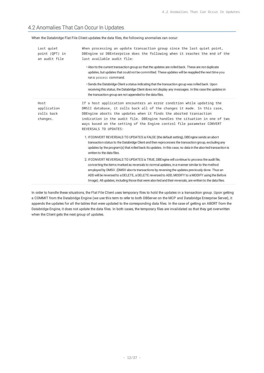# <span id="page-11-0"></span>4.2 Anomalies That Can Occur In Updates

When the Databridge Flat File Client updates the data files, the following anomalies can occur:

| Last quiet<br>point (QPT) in<br>an audit file | When processing an update transaction group since the last quiet point,<br>DBEngine or DBEnterprise does the following when it reaches the end of the<br>last available audit file:<br>• Aborts the current transaction group so that the updates are rolled back. These are not duplicate<br>updates, but updates that could not be committed. These updates will be reapplied the next time you<br>run a process command.<br>. Sends the Databridge Client a status indicating that the transaction group was rolled back. Upon<br>receiving this status, the Databridge Client does not display any messages. In this case the updates in<br>the transaction group are not appended to the data files.                     |
|-----------------------------------------------|-------------------------------------------------------------------------------------------------------------------------------------------------------------------------------------------------------------------------------------------------------------------------------------------------------------------------------------------------------------------------------------------------------------------------------------------------------------------------------------------------------------------------------------------------------------------------------------------------------------------------------------------------------------------------------------------------------------------------------|
| Host<br>application<br>rolls back<br>changes. | If a host application encounters an error condition while updating the<br>DMSII database, it rolls back all of the changes it made. In this case,<br>DBEngine aborts the updates when it finds the aborted transaction<br>indication in the audit file. DBEngine handles the situation in one of two<br>ways based on the setting of the Engine control file parameter CONVERT<br>REVERSALS TO UPDATES:<br>1. If CONVERT REVERSALS TO UPDATES is FALSE (the default setting), DBEngine sends an abort<br>transaction status to the Databridge Client and then reprocesses the transaction group, excluding any<br>updates by the program(s) that rolled back its updates. In this case, no data in the aborted transaction is |
|                                               | written to the data files.<br>2. If CONVERT REVERSALS TO UPDATES is TRUE, DBEngine will continue to process the audit file,<br>converting the items marked as reversals to normal updates, in a manner similar to the method<br>employed by DMSII. (DMSII aborts transactions by reversing the updates previously done. Thus an<br>ADD will be reversed to a DELETE, a DELETE reversed to ADD, MODIFY to a MODIFY using the Before<br>Image). All updates, including those that were aborted and their reversals, are written to the data files.                                                                                                                                                                              |

In order to handle these situations, the Flat File Client uses temporary files to hold the updates in a transaction group. Upon getting a COMMIT from the Databridge Engine (we use this term to refer to both DBServer on the MCP and Databridge Enterprise Server), it appends the updates for all the tables that were updated to the corresponding data files. In the case of getting an ABORT from the Databridge Engine, it does not update the data files. In both cases, the temporary files are invalidated so that they get overwritten when the Client gets the next group of updates.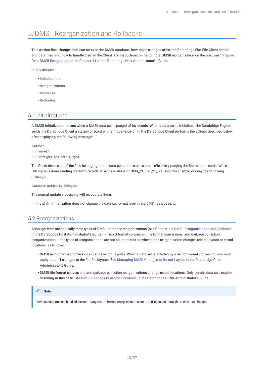# <span id="page-12-0"></span>5. DMSII Reorganization and Rollbacks

This section lists changes that can occur to the DMSII database, how those changes affect the Databridge Flat File Client control and data files, and how to handle them in the Client. For instructions on handling a DMSII reorganization on the host, see " [Prepare](https://www.attachmate.com/documentation/databridge-70/host/data/t_25283.html#t_25283) [for a DMSII Reorganization"](https://www.attachmate.com/documentation/databridge-70/host/data/t_25283.html#t_25283) in Chapter 11 of the Databridge Host Administrator\'s Guide.

**In this chapter**

- [Initializations](#page-12-1)
- [Reorganizations](#page-12-2) •
- [Rollbacks](#page-13-0) •
- [Recloning](#page-14-0)

# <span id="page-12-1"></span>5.1 Initializations

A DMSII initialization occurs when a DMSII data set is purged of its records. When a data set is initialized, the Databridge Engine sends the Databridge Client a stateinfo record with a mode value of 4. The Databridge Client performs the actions described below after displaying the following message:

DataSet

```
 name[/
 rectype] has been purged
```
The Client deletes all of the files belonging to this data set and re-creates them, effectively purging the files of all records. When DBEngine is done sending stateinfo records, it sends a status of DBM\_PURGE(21), causing the client to display the following message:

DataSets purged by DBEngine

The normal update processing will repopulate them.

::: {.note} An initialization does not change the data set format level in the DMSII database. :::

# <span id="page-12-2"></span>5.2 Reorganizations

Although there are basically three types of DMSII database reorganizations (see Chapter 11: DMSII Reorganizations and Rollbacks in the Databridge Host Administrator\'s Guide) --- record format conversion, file format conversions, and garbage collection reorganizations --- the types of reorganizations are not as important as whether the reorganization changes record layouts or record locations, as follows:

- DMSII record format conversions change record layouts. When a data set is affected by a record format conversion, you must apply parallel changes to the flat file layouts. See Managing DMSII Changes to Record Layout in the Databridge Client Administrator's Guide.
- DMSII file format conversions and garbage collection reorganizations change record locations. Only certain data sets require recloning in this case. See DMSII Changes to Record Locations in the Databridge Client Administrator's Guide.

#### **Note**

Filler substitutions are handled the same way record format reorganizations are. In a filler substitution, the item count changes.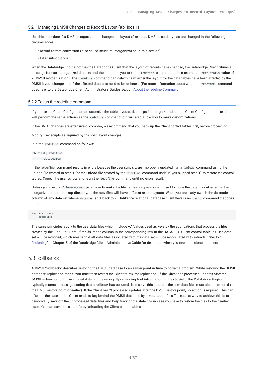#### 5.2.1 Managing DMSII Changes to Record Layout {#b1iqosl1}

Use this procedure if a DMSII reorganization changes the layout of records. DMSII record layouts are changed in the following circumstances:

- Record format conversion (also called structural reorganization in this section)
- Filler substitutions •

When the Databridge Engine notifies the Databridge Client that the layout of records have changed, the Databridge Client returns a message for each reorganized data set and then prompts you to run a redefine command. It then returns an exit\_status value of 2 (DMSII reorganization). The redefine command can determine whether the layout for the data tables have been affected by the DMSII layout change and if the affected data sets need to be recloned. (For more information about what the redefine command does, refer to the Databridge Client Administrator's Guide's section About the redefine Command.

#### 5.2.2 To run the redefine command

If you use the Client Configurator to customize the table layouts, skip steps 1 through 4 and run the Client Configurator instead. It will perform the same actions as the redefine command, but will also allow you to make customizations.

If the DMSII changes are extensive or complex, we recommend that you back up the Client control tables first, before proceeding.

Modify user scripts as required by the host layout changes.

Run the redefine command as follows:

dbutility redefine datasource

If the redefine command results in errors because the user scripts were improperly updated, run a reload command using the unload file created in step 1 (or the unload file created by the redefine command itself, if you skipped step 1) to restore the control tables. Correct the user scripts and rerun the redefine command until no errors result.

Unless you use the filename\_mask parameter to make the file names unique, you will need to move the data files affected by the reorganization to a backup directory, as the new files will have different record layouts. When you are ready, switch the ds\_mode column of any data set whose ds\_mode is 31 back to 2. Unlike the relational database client there is no reorg command that does this.

#### dbutility process datasource

The same principles apply to the user data files which include AA Values used as keys by the applications that process the files created by the Flat File Client. If the ds\_mode column in the corresponding row in the DATASETS Client control table is 0, the data set will be recloned, which means that all data files associated with the data set will be repopulated with extracts. Refer to " [Recloning"](https://www.attachmate.com/documentation/databridge-70/client-admin/data/t_19837.html#t_19837) in Chapter 5 of the Databridge Client Administrator\'s Guide for details on when you need to reclone data sets.

### <span id="page-13-0"></span>5.3 Rollbacks

A DMSII \"rollback\" describes restoring the DMSII database to an earlier point in time to correct a problem. While restoring the DMSII database, replication stops. You must then restart the Client to resume replication. If the Client has processed updates after the DMSII restore point, this replicated data will be wrong. Upon finding bad information in the stateinfo, the Databridge Engine typically returns a message stating that a rollback has occurred. To resolve this problem, the user data files must also be restored (to the DMSII restore point or earlier). If the Client hasn't processed updates after the DMSII restore point, no action is required. This can often be the case as the Client tends to lag behind the DMSII database by several audit files.The easiest way to achieve this is to periodically save off the unprocessed data files and keep track of the stateinfo in case you have to restore the files to their earlier state. You can save the stateinfo by unloading the Client control tables.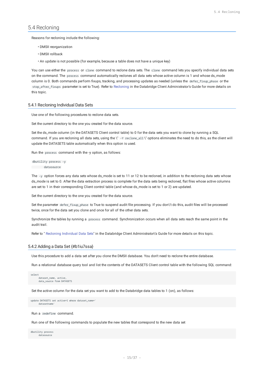### <span id="page-14-0"></span>5.4 Recloning

Reasons for recloning include the following:

- DMSII reorganization •
- DMSII rollback •
- $\cdot$  An update is not possible (for example, because a table does not have a unique key)

You can use either the process or clone command to reclone data sets. The clone command lets you specify individual data sets on the command. The process command automatically reclones all data sets whose active column is 1 and whose ds\_mode column is 0. Both commands perform fixups, tracking, and processing updates as needed (unless the defer\_fixup\_phase or the stop\_after\_fixups parameter is set to True). Refer to Recloning in the Databridge Client Administrator's Guide for more details on this topic.

#### 5.4.1 Recloning Individual Data Sets

Use one of the following procedures to reclone data sets.

Set the current directory to the one you created for the data source.

Set the ds\_mode column (in the DATASETS Client control table) to 0 for the data sets you want to clone by running a SQL command. If you are recloning all data sets, using the \" -Y reclone\_all \" options eliminates the need to do this, as the client will update the DATASETS table automatically when this option is used.

Run the process command with the -y option, as follows:

dbutility process -y datasource

The -y option forces any data sets whose ds\_mode is set to 11 or 12 to be recloned, in addition to the recloning data sets whose ds\_mode is set to 0. After the data extraction process is complete for the data sets being recloned, flat files whose active columns are set to 1 in their corresponding Client control table (and whose ds\_mode is set to 1 or 2) are updated.

Set the current directory to the one you created for the data source.

Set the parameter defer\_fixup\_phase to True to suspend audit file processing. If you don\'t do this, audit files will be processed twice, once for the data set you clone and once for all of the other data sets.

Synchronize the tables by running a process command. Synchronization occurs when all data sets reach the same point in the audit trail.

Refer to " [Recloning Individual Data Sets](https://www.attachmate.com/documentation/databridge-70/client-admin/data/t_19837.html#t_19839)" in the Databridge Client Administrator\'s Guide for more details on this topic.

#### 5.4.2 Adding a Data Set {#b1iu7ssa}

Use this procedure to add a data set after you clone the DMSII database. You don't need to reclone the entire database.

Run a relational database query tool and list the contents of the DATASETS Client control table with the following SQL command:

```
select
     dataset name, active
      data_source from DATASETS
```
Set the active column for the data set you want to add to the Databridge data tables to 1 (on), as follows:

update DATASETS set active=1 where dataset\_name=' datasetname'

Run a redefine command.

Run one of the following commands to populate the new tables that correspond to the new data set

dbutility process datasource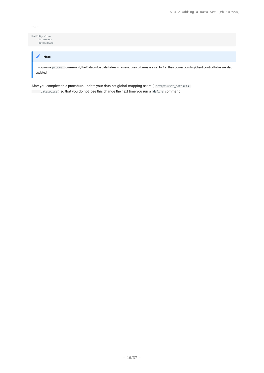| ۰,<br>$\sim$ |
|--------------|
|--------------|

dbutility clone datasource datasetname

# If you run a process command, the Databridge data tables whose active columns are set to 1 in their corresponding Client control table are also **Note**

updated.

After you complete this procedure, update your data set global mapping script (script.user\_datasets.

datasource ) so that you do not lose this change the next time you run a define command.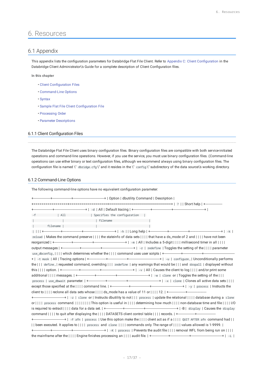# <span id="page-16-0"></span>6. Resources

# <span id="page-16-1"></span>6.1 Appendix

This appendix lists the configuration parameters for Databridge Flat File Client. Refer to Appendix C: Client Configuration in the Databridge Client Administrator\'s Guide for a complete description of Client Configuration files.

**In this chapter**

- Client Confi[guration Files](#page-16-2) •
- [Command-Line Options](#page-16-3) •
- [Syntax](#page-17-0) •
- **· [Sample Flat File Client Con](#page-17-1)figuration File**
- [Processing Order](#page-19-0)
- Parameter Descriptions

### <span id="page-16-2"></span>6.1.1 Client Configuration Files

The Databridge Flat File Client uses binary configuration files. Binary configuration files are compatible with both service-initiated operations and command-line operations. However, if you use the service, you must use binary configuration files. (Command-line operations can use either binary or text configuration files, although we recommend always using binary configuration files. The configuration file is named \" dbridge.cfg \" and it resides in the \" config \" subdirectory of the data source\'s working directory.

#### <span id="page-16-3"></span>6.1.2 Command-Line Options

The following command-line options have no equivalent configuration parameter:

| -f   All   Specifies the configuration                                                                                                        |
|-----------------------------------------------------------------------------------------------------------------------------------------------|
|                                                                                                                                               |
|                                                                                                                                               |
|                                                                                                                                               |
| reload   Makes the command preserve         the stateinfo of data sets         that have a ds_mode of 2 and         have not been             |
|                                                                                                                                               |
|                                                                                                                                               |
|                                                                                                                                               |
|                                                                                                                                               |
| the $   $ define, requested command, overriding $   $ redefine any warnings that would be $   $ and dropall displayed without                 |
|                                                                                                                                               |
|                                                                                                                                               |
|                                                                                                                                               |
|                                                                                                                                               |
|                                                                                                                                               |
| +-----------------------------+  -z   clone or   Instructs dbutility to not      process   update the relational      database during a clone |
|                                                                                                                                               |
|                                                                                                                                               |
|                                                                                                                                               |
| $+$ ----------------------------+   -F afn   process   Use this option make the      client act as if a      QUIT AFTER afn command had       |
| been executed. It applies to       process and clone       commands only. The range of       values allowed is 1-9999.                        |
|                                                                                                                                               |
|                                                                                                                                               |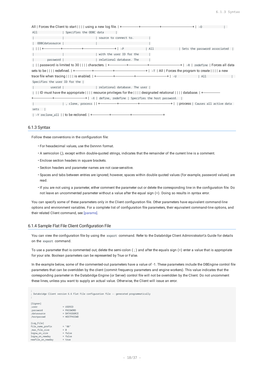| All<br>  Specifies the ODBC data                                                                                                                                                                                                   |                       |  |                              |  |
|------------------------------------------------------------------------------------------------------------------------------------------------------------------------------------------------------------------------------------|-----------------------|--|------------------------------|--|
|                                                                                                                                                                                                                                    | source to connect to. |  |                              |  |
| ODBCdatasource  <br>the contract of the contract of the contract of                                                                                                                                                                |                       |  |                              |  |
|                                                                                                                                                                                                                                    |                       |  | Sets the password associated |  |
| <b>Example 2</b> and 1 and 1 and 1 and 1 and 1 and 1 and 1 and 1 and 1 and 1 and 1 and 1 and 1 and 1 and 1 and 1 and 1 and 1 and 1 and 1 and 1 and 1 and 1 and 1 and 1 and 1 and 1 and 1 and 1 and 1 and 1 and 1 and 1 and 1 and 1 |                       |  |                              |  |
| password   relational database. The                                                                                                                                                                                                |                       |  |                              |  |
|                                                                                                                                                                                                                                    |                       |  |                              |  |
|                                                                                                                                                                                                                                    |                       |  |                              |  |
|                                                                                                                                                                                                                                    |                       |  | All                          |  |
| Specifies the user ID for the                                                                                                                                                                                                      |                       |  |                              |  |
|                                                                                                                                                                                                                                    |                       |  |                              |  |
|                                                                                                                                                                                                                                    |                       |  |                              |  |
|                                                                                                                                                                                                                                    |                       |  |                              |  |
|                                                                                                                                                                                                                                    |                       |  |                              |  |
| sets                                                                                                                                                                                                                               |                       |  |                              |  |
|                                                                                                                                                                                                                                    |                       |  |                              |  |

#### <span id="page-17-0"></span>6.1.3 Syntax

Follow these conventions in the configuration file:

- For hexadecimal values, use the 0xnnnn format. •
- $\cdot$  A semicolon (;), except within double-quoted strings, indicates that the remainder of the current line is a comment.
- Enclose section headers in square brackets. •
- Section headers and parameter names are not case-sensitive. •
- Spaces and tabs between entries are ignored; however, spaces within double quoted values (for example, password values) are read.
- If you are not using a parameter, either comment the parameter out or delete the corresponding line in the configuration file. Do not leave an uncommented parameter without a value after the equal sign (=). Doing so results in syntax error.

You can specify some of these parameters only in the Client configuration file. Other parameters have equivalent command-line options and environment variables. For a complete list of configuration file parameters, their equivalent command-line options, and their related Client command, see [params].

#### <span id="page-17-1"></span>6.1.4 Sample Flat File Client Configuration File

You can view the configuration file by using the export command. Refer to the Databridge Client Administrator\'s Guide for details on the export command.

To use a parameter that is commented out, delete the semi-colon ( ; ) and after the equals sign (=) enter a value that is appropriate for your site. Boolean parameters can be represented by True or False.

In the example below, some of the commented-out parameters have a value of -1. These parameters include the DBEngine control file parameters that can be overridden by the client (commit frequency parameters and engine workers). This value indicates that the corresponding parameter in the Databridge Engine (or Server) control file will not be overridden by the Client. Do not uncomment these lines, unless you want to supply an actual value. Otherwise, the Client will issue an error.

; ; Databridge Client version 6.6 Flat File configuration file -- generated programmatically ; [Signon] ;user = USERID ;password = PASSWORD<br>;datasource = DATASOUR ;datasource = DATASOURCE<br>;hostpasswd = HOSTPASSWD ;hostpasswd = HOSTPASSWD [Log\_File] file\_name\_prefix = "db" ;max\_file\_size =  $\theta$ <br>logsw\_on\_size = false logsw\_on\_size = false logsw\_on\_newday = false newfile\_on\_newday = true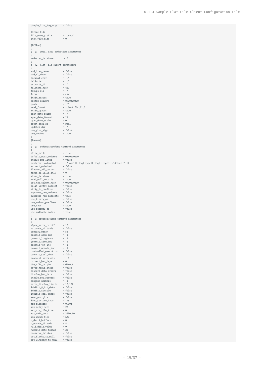```
single_line_log_msgs = false
 [Trace_File]
 file_name_perfix = "trace"<br>
max file size = 0
 ;max_file_size = 0
 [PCSPan]
 ;
; (1) DMSII data redaction parameters
 ;
redacted_database = 0
 ;
; (2) Flat File client parameters
 ;
add_item_names = false
 add_nl_chars = false<br>
add_nl_chars = false<br>
decimal_char = ","<br>
delimiter = ","<br>
extracts_dir = ""<br>
stracts_dir = csv<br>
fixups_dir = ""<br>
format = csv
 decima chardelimiter
 extracts_dir
 filename_mask
 fixups_dir = ""
 format = csv
ltrim_zeroes = true
prefix_columns<br>quote
 \begin{tabular}{ll} $\texttt{true}\texttt{z} \texttt{c} \texttt{1} \texttt{...} \texttt{z} \texttt{c} \texttt{1} \texttt{...}$ & = $\texttt{true}$ \\ $\texttt{prefix}\texttt{c} \texttt{0} \texttt{1} \texttt{...}$ & = $\texttt{0} \texttt{x} \texttt{0} \texttt{0} \texttt{0} \texttt{0} \texttt{0}$ \\ $\texttt{queue} \texttt{= 1} \texttt{...}$ & = $\texttt{c} \texttt{i} \texttt{...}$ & = $\texttt{c} \texttt{i} \texttt{...}$ \\ $\texttt{real}\texttt{= 0} \texttt{...}$= scientific,11,6<br>= true
 rtrim_spaces = tr<br>span date delim = ""
 span_date_delim = ""
span_date_format = 21
 span\_date\_scale = 0
 treat\_real\_as = real<br>
update\_dir = ""
updates_dir = ""<br>use_plus_sign = false
 use_plus_sign = false
use_quotes = true
 ;
 [Params]
 ;
; (1) define/redefine command parameters
 ;
allow_nulls = true
 \begin{array}{ll}\n \text{default\_user\_columns} & = & 0 \times 00000000 \\
 \text{enable dms links} & = & false\n \end{array}enable_dms_links<br>;external_column[n]
                                   : "iname"][,[sql_type][,[sql_length][,"default"]]]<br>= false<br>= false
 extract_embedded = false<br>flatten all occurs = false
 flatten_all_occurs = false<br>force_aa_value_only = 0
 force_aa_value_only = 0<br>miser_database = true
 miser_database = true
read_null_records = true
 sec_tab_column_mask = 0x000000000
 split_varfmt_dataset = false<br>strip_ds_prefixes = false
 strip_ds_prefixes
 suppress_new_columns = false
suppress_new_datasets = true
use_binary_aa = false<br>use_columnrefives = false
use\_column\_prefixesuse_date = true<br>use_decimal_aa = false
 use_decimal_aa = false
use_nullable_dates
 ;
; (2) process/clone command parameters
 ;<br>alpha_error_cutoff       = 10
 \frac{1}{\text{automatic\_virtuals}} = \text{false}century_break = 50<br>;commit_absn_inc = -1
 ;\text{commit\_absn\_inc} = -1<br>:commit longtrans = -1
 ; commit_longtrans
 ; commut\_time\_inc = -1<br>; commut\_txn\_inc = -1
 ;commit_txn_inc = -1
 : commit update inc = -1controlled_execution = false<br>convert_ctrl_char = false
 convert_ctrl_char = fals<br>convert_reversals = -1;
 ; convert_reversals = -<br>correct bad days = 0correct\_bad\_days = 0<br>dbe dflt origin = direct
 dbe_df1t\_origin = directer fixup phase = false
defer_fixup_phase = false<br>discard data errors = false
 discard_data\_errors = false<br>discard_data_errors = false<br>display bad data = false
display\_bad\_dataenable\_doc\_records = false<br>:engine workers = -1
 ; engine_workers = -1<br>error display limits = 10,100error_display_limits = 10,100
inhibit_8_bit_data = false
 inhibit\_console = false
 inhibit_ctrl_chars = false
 keep\_undigits = false<br>
line century base = 1957
linc_century_base
 max_discards = 0,100
max_retry_secs = 20
max\_srv\_idle\_time = 0<br>max\_wait\_secs = 3600,60
 max\_wait\_secs = 3600<br>min check time = 600
 min\_check\_timen\_dmsii\_buffers = 0<br>n\_update\_threads = 8
n_update_threads = 8<br>null_digit_value = 9
 null\_digit\_value = 9<br>
numeric date format = 23
numeric_date_format = 23<br>preserve_deletes = false
preserve_deletes = false<br>set blanks to null = false
 set_blanks_to_null
set_lincday0_to_null = false
```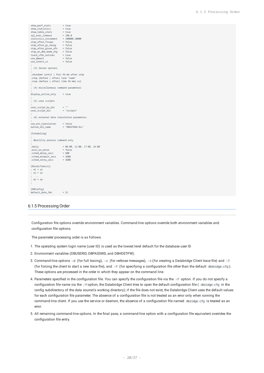```
show_perf_stats = true
show\_statistics = true<br>show table stats = true
show table stats
sqL exec_timeout = 180,0<br>statistics increment = 100000.10000statistics_increment = 10000<br>stop after fixups = false
stop_after_fixups
stop_after_gc_reorg = false<br>stop after given afn = false
stop_{a}fter_{given_{a}fn} = false<br>stop on dhe mode cha
stop_on_dbe_mode_chg
track_vfds_nolinks = true<br>use dbwait = false
use_dbwait
uee latest si = false
;
; (3) Server options
;
;shutdown {until | for} hh:mm after stop
;stop {before | after} task "name"
;stop {before | after} time hh:mm[:ss]
;
; (4) miscellaneous command parameters
;
display_active_only = true
;
; (5) user scripts
;
user_script_bu_dir = ""<br>user_script_dir = "scripts"
user\_script\_dir;
; (6) external data translation parameters
;
use_ext_translation = false<br>eatran_dll_name = "DBEA"
                             = "DBEATRAN.DLL"
[Scheduling]
;
; dbutility process command only
;
;<br>daily = 08:00, 12:00, 17:00, 24:00<br>= 0.51se
;exit_on_error
;sched_delay_secs = 600
;sched_minwait_secs = 3600
; sched_retry_secs
[EbcdicToAscii]
; e1 = a1; e2 = a2
; ...
; en = an
;
[DBConfig]
default_date_fmt = 21
```
#### <span id="page-19-0"></span>6.1.5 Processing Order

Configuration file options override environment variables. Command-line options override both environment variables and configuration file options.

The parameter processing order is as follows:

- 1. The operating system login name (user ID) is used as the lowest level default for the database user ID
- 2. Environment variables (DBUSERID, DBPASSWD, and DBHOSTPW).
- 3. Command-line options -d (for full tracing), -v (for verbose messages), -t (for creating a Databridge Client trace file) and -T (for forcing the client to start a new trace file), and -f (for specifying a configuration file other than the default dbdridge.cfg ). These options are processed in the order in which they appear on the command line.
- Parameters specified in the configuration file. You can specify the configuration file via the -f option. If you do not specify a 4. configuration file name via the -f option, the Databridge Client tries to open the default configuration file ( dbridge.cfg in the config subdirectory of the data source\'s working directory); if the file does not exist, the Databridge Client uses the default values for each configuration file parameter. The absence of a configuration file is not treated as an error only when running the command-line client. If you use the service or daemon, the absence of a configuration file named dbridge.cfg is treated as an error.
- All remaining command-line options. In the final pass, a command-line option with a configuration file equivalent overrides the 5. configuration file entry.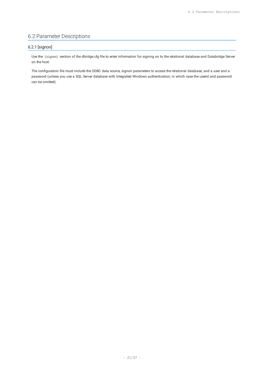# <span id="page-20-0"></span>6.2 Parameter Descriptions

### 6.2.1 [signon]

Use the [signon] section of the dbridge.cfg file to enter information for signing on to the relational database and Databridge Server on the host.

The configuration file must include the ODBC data source, signon parameters to access the relational database, and a user and a password (unless you use a SQL Server database with Integrated Windows authentication, in which case the userid and password can be omitted).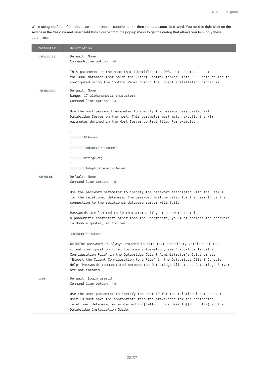When using the Client Console, these parameters are supplied at the time the data source is created. You need to right-click on the service in the tree view and select **Add Data Source** from the pop-up menu to get the dialog that allows you to supply these parameters.

| Parameter  | Description                                                                                                                                                                                                                                                                                                                                                                                                                   |
|------------|-------------------------------------------------------------------------------------------------------------------------------------------------------------------------------------------------------------------------------------------------------------------------------------------------------------------------------------------------------------------------------------------------------------------------------|
| datasource | Default: None<br>Command-line option: -0                                                                                                                                                                                                                                                                                                                                                                                      |
|            | This parameter is the name that identifies the ODBC data source used to access<br>the ODBC database that holds the Client Control tables. This ODBC data source is<br>configured using the Control Panel during the Client installation procedure.                                                                                                                                                                            |
| hostpasswd | Default: None<br>Range: 17 alphanumeric characters<br>Command-line option: -X                                                                                                                                                                                                                                                                                                                                                 |
|            | Use the host password parameter to specify the password associated with<br>Databridge Server on the host. This parameter must match exactly the KEY<br>parameter defined in the Host Server control file. For example:                                                                                                                                                                                                        |
|            | ٠<br>DBServer                                                                                                                                                                                                                                                                                                                                                                                                                 |
|            | &nbspKEY = "Secret"<br>dbridge.cfg                                                                                                                                                                                                                                                                                                                                                                                            |
|            | &nbsphostpasswd = Secret                                                                                                                                                                                                                                                                                                                                                                                                      |
| password   | Default: None<br>Command-line option: -p                                                                                                                                                                                                                                                                                                                                                                                      |
|            | Use the password parameter to specify the password associated with the user ID<br>for the relational database. The password must be valid for the user ID or the<br>connection to the relational database server will fail.                                                                                                                                                                                                   |
|            | Passwords are limited to 30 characters. If your password contains non<br>alphanumeric characters other than the underscore, you must enclose the password<br>in double quotes, as follows:                                                                                                                                                                                                                                    |
|            | $password = "a$bb%"$                                                                                                                                                                                                                                                                                                                                                                                                          |
|            | NOTE: The password is always encoded in both text and binary versions of the<br>client configuration file. For more information, see "Export or Import a<br>Configuration File" in the Databridge Client Administrator's Guide or see<br>"Export the Client Configuration to a File" in the Databridge Client Console<br>Help. Passwords communicated between the Databridge Client and Databridge Server<br>are not encoded. |
| user       | Default: Login userid<br>Command-line option: -U                                                                                                                                                                                                                                                                                                                                                                              |
|            | Use the user parameter to specify the user ID for the relational database. The<br>user ID must have the appropriate resource privileges for the designated<br>relational database, as explained in [Setting Up a User ID] (NEED LINK) in the<br>Databridge Installation Guide.                                                                                                                                                |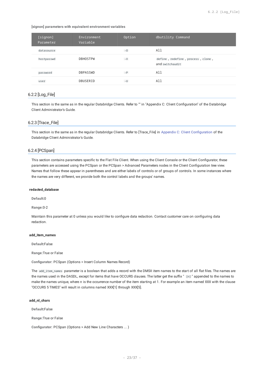**[signon] parameters with equivalent environment variables**

| [signon]<br>Parameter | Environment<br>Variable | Option | dbutility Command                                    |
|-----------------------|-------------------------|--------|------------------------------------------------------|
| datasource            |                         | $-0$   | All                                                  |
| hostpasswd            | <b>DBHOSTPW</b>         | $-X$   | define, redefine, process, clone,<br>and switchaudit |
| password              | <b>DBPASSWD</b>         | $-P$   | All                                                  |
| user                  | DBUSERID                | $-U$   | All                                                  |

### 6.2.2 [Log\_File]

This section is the same as in the regular Databridge Clients. Refer to "" in "Appendix C: Client Configuration" of the Databridge Client Administrator's Guide.

### 6.2.3 [Trace\_File]

This section is the same as in the regular Databridge Clients. Refer to [Trace\_File] in Appendix C: Client Configuration of the Databridge Client Administrator's Guide.

#### 6.2.4 [PCSpan]

This section contains parameters specific to the Flat File Client. When using the Client Console or the Client Configurator, these parameters are accessed using the PCSpan or the PCSpan > Advanced Parameters nodes in the Client Configuration tree view. Names that follow these appear in parentheses and are either labels of controls or of groups of controls. In some instances where the names are very different, we provide both the control labels and the groups' names.

#### **redacted\_database**

**Default:**0

**Range:**0-2

Maintain this parameter at 0 unless you would like to configure data redaction. Contact customer care on configuring data redaction.

#### **add\_item\_names**

**Default:**False

**Range:**True or False

**Configurator:** PCSpan (Options > Insert Column Names Record)

The add\_item\_names parameter is a boolean that adds a record with the DMSII item names to the start of all flat files. The names are the names used in the DASDL, except for items that have OCCURS clauses. The latter get the suffix " [n] " appended to the names to make the names unique, where *n* is the occurrence number of the item starting at 1. For example an item named XXX with the clause "OCCURS 5 TIMES" will result in columns named XXX[1] through XXX[5].

#### **add\_nl\_chars**

**Default:**False

**Range:**True or False

**Configurator:** PCSpan (Options > Add New Line Characters ... )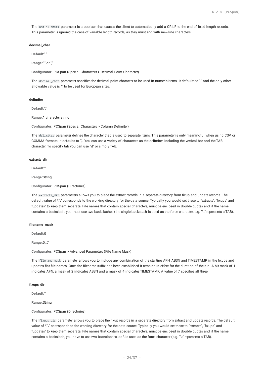The add\_nl\_chars parameter is a boolean that causes the client to automatically add a CR LF to the end of fixed length records. This parameter is ignored the case of variable length records, as they must end with new-line characters.

#### **decimal\_char**

**Default:**"."

**Range:**"." or ","

**Configurator:** PCSpan (Special Characters > Decimal Point Character)

The decimal char parameter specifies the decimal point character to be used in numeric items. It defaults to "." and the only other allowable value is "," to be used for European sites.

#### **delimiter**

**Default:**","

**Range:**1 character string

**Configurator:** PCSpan (Special Characters > Column Delimiter)

The delimiter parameter defines the character that is used to separate items. This parameter is only meaningful when using CSV or COMMA formats. It defaults to ",". You can use a variety of characters as the delimiter, including the vertical bar and the TAB character. To specify tab you can use "\t" or simply TAB.

#### **extracts\_dir**

**Default:**""

**Range:**String

**Configurator:** PCSpan (Directories)

The extracts\_dir parameters allows you to place the extract records in a separate directory from fixup and update records. The default value of \"\" corresponds to the working directory for the data source. Typically you would set these to "extracts", "fixups" and "updates" to keep them separate. File names that contain special characters, must be enclosed in double quotes and if the name contains a backslash, you must use two backslashes (the single backslash is used as the force character, e.g. "\t" represents a TAB).

#### **filename\_mask**

**Default:**0

**Range:**0..7

**Configurator:** PCSpan > Advanced Parameters (File Name Mask)

The filename\_mask parameter allows you to include any combination of the starting AFN, ABSN and TIMESTAMP in the fixups and updates flat file names. Once the filename suffix has been established it remains in effect for the duration of the run. A bit mask of 1 indicates AFN, a mask of 2 indicates ABSN and a mask of 4 indicates TIMESTAMP. A value of 7 specifies all three.

#### **fixups\_dir**

**Default:**""

**Range:**String

**Configurator:** PCSpan (Directories)

The fixups\_dir parameter allows you to place the fixup records in a separate directory from extract and update records. The default value of \"\" corresponds to the working directory for the data source. Typically you would set these to "extracts", "fixups" and "updates" to keep them separate. File names that contain special characters, must be enclosed in double quotes and if the name contains a backslash, you have to use two backslashes, as \ is used as the force character (e.g. "\t" represents a TAB).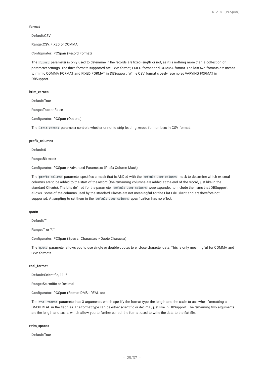#### **format**

**Default:**CSV

**Range:**CSV, FIXED or COMMA

**Configurator:** PCSpan (Record Format)

The format parameter is only used to determine if the records are fixed-length or not, as it is nothing more than a collection of parameter settings. The three formats supported are: CSV format, FIXED format and COMMA format. The last two formats are meant to mimic COMMA FORMAT and FIXED FORMAT in DBSupport. While CSV format closely resembles VARYING FORMAT in DBSupport.

#### **ltrim\_zeroes**

**Default:**True

**Range:**True or False

**Configurator:** PCSpan (Options)

The ltrim\_zeroes parameter controls whether or not to strip leading zeroes for numbers in CSV format.

#### **prefix\_columns**

**Default:**0

**Range:**Bit mask

**Configurator:** PCSpan > Advanced Parameters (Prefix Column Mask)

The prefix\_columns parameter specifies a mask that is ANDed with the default\_user\_columns mask to determine which external columns are to be added to the start of the record (the remaining columns are added at the end of the record, just like in the standard Clients). The bits defined for the parameter default\_user\_columns were expanded to include the items that DBSupport allows. Some of the columns used by the standard Clients are not meaningful for the Flat File Client and are therefore not supported. Attempting to set them in the default\_user\_columns specification has no effect.

#### **quote**

**Default:**"'"

**Range:**"'" or "\""

**Configurator:** PCSpan (Special Characters > Quote Character)

The quote parameter allows you to use single or double quotes to enclose character data. This is only meaningful for COMMA and CSV formats.

#### **real\_format**

**Default:**Scientific, 11, 6

**Range:**Scientific or Decimal

**Configurator:** PCSpan (Format DMSII REAL as)

The real\_format parameter has 3 arguments, which specify the format type, the length and the scale to use when formatting a DMSII REAL in the flat files. The format type can be either scientific or decimal, just like in DBSupport. The remaining two arguments are the length and scale, which allow you to further control the format used to write the data to the flat file.

#### **rtrim\_spaces**

**Default:**True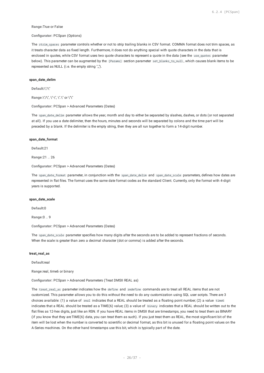#### **Range:**True or False

#### **Configurator:** PCSpan (Options)

The rtrim\_spaces parameter controls whether or not to strip trailing blanks in CSV format. COMMA format does not trim spaces, as it treats character data as fixed length. Furthermore, it does not do anything special with quote characters in the data that is enclosed in quotes, while CSV format uses two quote characters to represent a quote in the data (see the use\_quotes parameter below). This parameter can be augmented by the [Params] section parameter set\_blanks\_to\_null, which causes blank items to be represented as NULL (i.e. the empty string ",").

#### **span\_date\_delim**

**Default:**\"/\"

**Range:**\"/\", \"-\", \".\" or \"\"

**Configurator:** PCSpan > Advanced Parameters (Dates)

The span\_date\_delim parameter allows the year, month and day to either be separated by slashes, dashes, or dots (or not separated at all). If you use a date delimiter, then the hours, minutes and seconds will be separated by colons and the time part will be preceded by a blank. If the delimiter is the empty string, then they are all run together to form a 14-digit number.

#### **span\_date\_format**

**Default:**21

**Range:**21 .. 26

**Configurator:** PCSpan > Advanced Parameters (Dates)

The span\_date\_format parameter, in conjunction with the span\_date\_delim and span\_date\_scale parameters, defines how dates are represented in flat files. The format uses the same date format codes as the standard Client. Currently, only the format with 4-digit years is supported.

#### **span\_date\_scale**

**Default:**0

**Range:**0 .. 9

**Configurator:** PCSpan > Advanced Parameters (Dates)

The span\_date\_scale parameter specifies how many digits after the seconds are to be added to represent fractions of seconds. When the scale is greater than zero a decimal character (dot or comma) is added after the seconds.

#### **treat\_real\_as**

**Default:**real

**Range:**real, time6 or binary

**Configurator:** PCSpan > Advanced Parameters (Treat DMSII REAL as)

The treat\_real\_as parameter indicates how the define and redefine commands are to treat all REAL items that are not customized. This parameter allows you to do this without the need to do any customization using SQL user scripts. There are 3 choices available: (1) a value of real indicates that a REAL should be treated as a floating point number; (2) a value time6 indicates that a REAL should be treated as a TIME(6) value; (3) a value of binary indicates that a REAL should be written out to the flat files as 12-hex digits, just like an RSN. If you have REAL items in DMSII that are timestamps, you need to treat them as BINARY (if you know that they are TIME(6) data, you can treat them as such). If you just treat them as REAL, the most significant bit of the item will be lost when the number is converted to scientific or decimal format, as this bit is unused for a floating point values on the A-Series machines. On the other hand timestamps use this bit, which is typically part of the date.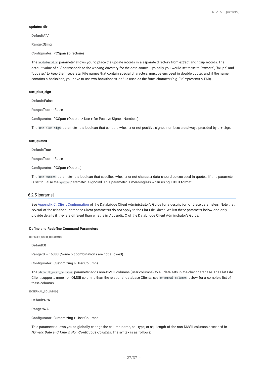#### **updates\_dir**

**Default:**\"\"

**Range:**String

**Configurator:** PCSpan (Directories)

The updates dir parameter allows you to place the update records in a separate directory from extract and fixup records. The default value of \"\" corresponds to the working directory for the data source. Typically you would set these to "extracts", "fixups" and "updates" to keep them separate. File names that contain special characters, must be enclosed in double quotes and if the name contains a backslash, you have to use two backslashes, as \ is used as the force character (e.g. "\t" represents a TAB).

#### **use\_plus\_sign**

**Default:**False

**Range:**True or False

**Configurator:** PCSpan (Options > Use + for Positive Signed Numbers)

The use\_plus\_sign parameter is a boolean that controls whether or not positive signed numbers are always preceded by a + sign.

#### **use\_quotes**

**Default:**True

**Range:**True or False

**Configurator:** PCSpan (Options)

The use\_quotes parameter is a boolean that specifies whether or not character data should be enclosed in quotes. If this parameter is set to False the quote parameter is ignored. This parameter is meaningless when using FIXED format.

#### 6.2.5 [params]

See Appendix C: Client Configuration of the Databridge Client Administrator's Guide for a description of these parameters. Note that several of the relational database Client parameters do not apply to the Flat File Client. We list these parameter below and only provide details if they are different than what is in Appendix C of the Databridge Client Adminstrator's Guide.

#### **Define and Redefine Command Parameters**

**DEFAULT\_USER\_COLUMNS**

**Default:**0

**Range:**0 -- 16383 (Some bit combinations are not allowed)

**Configurator:** Customizing > User Columns

The default\_user\_columns parameter adds non-DMSII columns (user columns) to all data sets in the client database. The Flat File Client supports more non-DMSII columns than the relational database Clients, see external\_columns below for a complete list of these columns.

**EXTERNAL\_COLUMN[N]**

**Default:**N/A

**Range:**N/A

**Configurator:** Customizing > User Columns

This parameter allows you to globally change the column name, sql\_type, or sql\_length of the non-DMSII columns described in *Numeric Date and Time in Non-Contiguous Columns*. The syntax is as follows: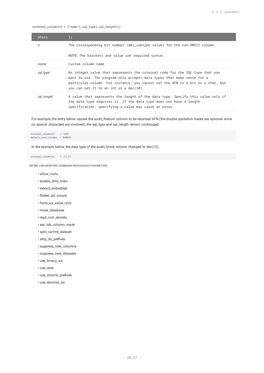external\_column[n] = ["name"[,sql\_type[,sql\_length]]]

| Where        | Is                                                                                                                                                                                                                                                                                  |
|--------------|-------------------------------------------------------------------------------------------------------------------------------------------------------------------------------------------------------------------------------------------------------------------------------------|
| $\mathsf{n}$ | The corresponding bit number (dms_subtype value) for the non-DMSII column.                                                                                                                                                                                                          |
|              | NOTE: The brackets and value are required syntax.                                                                                                                                                                                                                                   |
| name         | Custom column name                                                                                                                                                                                                                                                                  |
| sql_type     | An integer value that represents the internal code for the SQL type that you<br>want to use. The program only accepts data types that make sense for a<br>particular column. For instance, you cannot set the AFN to a bit or a char, but<br>you can set it to an int or a dec(10). |
| sgl_length   | A value that represents the length of the data type. Specify this value only if<br>the data type requires it. If the data type does not have a length<br>specification, specifying a value may cause an error.                                                                      |

For example, the entry below causes the audit\_filenum column to be renamed AFN (the double quotation marks are optional since no special characters are involved); the sql\_type and sql\_length remain unchanged.

external\_column[5] = "AFN" default\_user\_columns = 0x0010

In the example below, the data type of the audit\_block column changed to dec(12).

 $external\_column[6] = 11,12$ 

**DEFINE AND REDEFINE COMMAND UNCHANGED PARAMETERS**

- allow\_nulls •
- enable\_dms\_links •
- extract\_embedded •
- flatten\_all\_occurs •
- force\_aa\_value\_only •
- miser\_database •
- read\_null\_records
- sec\_tab\_column\_mask •
- split\_varfmt\_dataset •
- strip\_ds\_prefixes •
- suppress\_new\_columns •
- suppress\_new\_datasets •
- use\_binary\_aa •
- use\_date •
- use\_column\_prefixes •
- use\_decimal\_aa •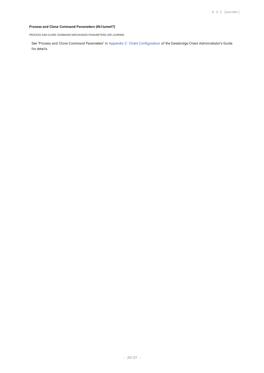### **Process and Clone Command Parameters {#b1iumwl7}**

**PROCESS AND CLONE COMMAND UNCHANGED PARAMETERS {#B1JL0WWD}**

See "Process and Clone Command Parameters" in Appendix C: Client Configuration of the Databridge Client Administrator's Guide for details.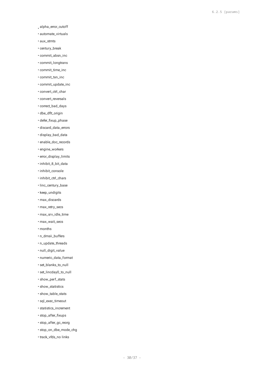- alpha\_error\_cutoff •
- automate\_virtuals •
- aux\_stmts •
- century\_break •
- commit\_absn\_inc •
- commit\_longtrans •
- commit\_time\_inc •
- commit\_txn\_inc •
- commit\_update\_inc •
- convert\_ctrl\_char •
- convert\_reversals •
- correct\_bad\_days •
- dbe\_dflt\_origin •
- defer\_fixup\_phase
- discard\_data\_errors •
- display\_bad\_data •
- enable\_doc\_records •
- engine\_workers
- error\_display\_limits •
- inhibit\_8\_bit\_data •
- inhibit\_console
- inhibit\_ctrl\_chars •
- linc\_century\_base
- keep\_undigits
- max\_discards •
- max\_retry\_secs •
- max\_srv\_idle\_time •
- max\_wait\_secs •
- months •
- n\_dmsii\_buffers •
- n\_update\_threads •
- null\_digit\_value •
- numeric\_data\_format •
- set\_blanks\_to\_null •
- set\_lincday0\_to\_null •
- show\_perf\_stats •
- show\_statistics •
- show\_table\_stats •
- sql\_exec\_timeout •
- statistics\_increment •
- stop\_after\_fixups •
- stop\_after\_gc\_reorg •
- stop\_on\_dbe\_mode\_chg •
- track\_vfds\_no links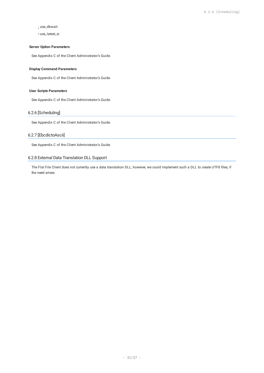# use\_dbwait •

use\_latest\_si •

#### **Server Option Parameters**

See Appendix C of the Client Administrator's Guide.

#### **Display Command Parameters**

See Appendix C of the Client Administrator's Guide.

#### **User Scripts Parameters**

See Appendix C of the Client Administrator's Guide.

### 6.2.6 [Scheduling]

See Appendix C of the Client Administrator's Guide.

### 6.2.7 [EbcdictoAscii]

See Appendix C of the Client Administrator's Guide.

#### 6.2.8 External Data Translation DLL Support

The Flat File Client does not currently use a data translation DLL, however, we could implement such a DLL to create UTF8 files, if the need arises.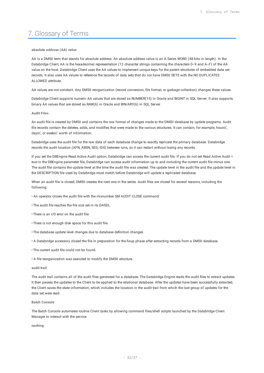# <span id="page-31-0"></span>7. Glossary of Terms

#### **absolute address (AA) value**

AA is a DMSII term that stands for absolute address. An absolute address value is an A Series WORD (48-bits in length). In the Databridge Client, AA is the hexadecimal representation (12 character strings containing the characters 0--9 and A--F) of the AA value on the host. Databridge Client uses the AA values to implement unique keys for the parent structures of embedded data set records. It also uses AA values to reference the records of data sets that do not have DMSII SETS with the NO DUPLICATES ALLOWED attribute.

AA values are not constant. Any DMSII reorganization (record conversion, file format, or garbage collection) changes these values.

Databridge Client supports numeric AA values that are stored as NUMBER(15) in Oracle and BIGINT in SQL Server. It also supports binary AA values that are stored as RAW(6) in Oracle and BIN/ARY(6) in SQL Server.

#### **Audit Files**

An audit file is created by DMSII and contains the raw format of changes made to the DMSII database by update programs. Audit file records contain the deletes, adds, and modifies that were made to the various structures. It can contain, for example, hours\', days\', or weeks\' worth of information.

Databridge uses the audit file for the raw data of each database change to exactly replicate the primary database. Databridge records the audit location (AFN, ABSN, SEG, IDX) between runs, so it can restart without losing any records.

If you set the DBEngine Read Active Audit option, Databridge can access the current audit file. If you do not set Read Active Audit = true in the DBEngine parameter file, Databridge can access audit information up to and including the current audit file minus one. The audit file contains the update level at the time the audit file was created. The update level in the audit file and the update level in the DESCRIPTION file used by Databridge must match before Databridge will update a replicated database.

When an audit file is closed, DMSII creates the next one in the series. Audit files are closed for several reasons, including the following:

- An operator closes the audit file with the mixnumber SM AUDIT CLOSE command.
- The audit file reaches the file size set in its DASDL.
- There is an I/O error on the audit file.
- There is not enough disk space for this audit file.
- The database update level changes due to database definition changes
- A Databridge accessory closed the file in preparation for the fixup phase after extracting records from a DMSII database.
- The current audit file could not be found.
- A file reorganization was executed to modify the DMSII structure.

#### **audit trail**

The audit trail contains all of the audit files generated for a database. The Databridge Engine reads the audit files to extract updates. It then passes the updates to the Client to be applied to the relational database. After the updates have been successfully extracted, the Client saves the state information, which includes the location in the audit trail from which the last group of updates for the data set were read.

#### **Batch Console**

The Batch Console automates routine Client tasks by allowing command files/shell scripts launched by the Databridge Client Manager to interact with the service.

**caching**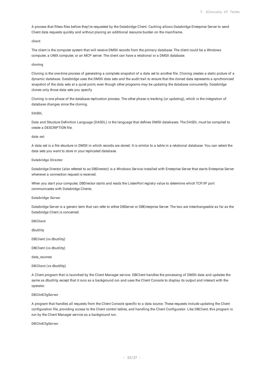A process that filters files before they\'re requested by the Databridge Client. Caching allows Databridge Enterprise Server to send Client data requests quickly and without placing an additional resource burden on the mainframe.

#### **client**

The client is the computer system that will receive DMSII records from the primary database. The client could be a Windows computer, a UNIX computer, or an MCP server. The client can have a relational or a DMSII database.

#### **cloning**

Cloning is the one-time process of generating a complete snapshot of a data set to another file. Cloning creates a static picture of a dynamic database. Databridge uses the DMSII data sets and the audit trail to ensure that the cloned data represents a synchronized snapshot of the data sets at a quiet point, even though other programs may be updating the database concurrently. Databridge clones only those data sets you specify.

Cloning is one phase of the database replication process. The other phase is tracking (or updating), which is the integration of database changes since the cloning.

#### **DASDL**

Data and Structure Definition Language (DASDL) is the language that defines DMSII databases. The DASDL must be compiled to create a DESCRIPTION file.

#### **data set**

A data set is a file structure in DMSII in which records are stored. It is similar to a table in a relational database. You can select the data sets you want to store in your replicated database.

#### **Databridge Director**

Databridge Director (also referred to as DBDirector) is a Windows Service installed with Enterprise Server that starts Enterprise Server whenever a connection request is received.

When you start your computer, DBDirector starts and reads the ListenPort registry value to determine which TCP/IP port communicates with Databridge Clients.

#### **Databridge Server**

Databridge Server is a generic term that can refer to either DBServer or DBEnterprise Server. The two are interchangeable as far as the Databridge Client is concerned.

**DBClient**

dbutility

DBClient (vs dbutility)

DBClient (vs dbutility)

data\_sources

**DBClient (vs dbutility)**

A Client program that is launched by the Client Manager service. DBClient handles the processing of DMSII data and updates the same as dbutility, except that it runs as a background run and uses the Client Console to display its output and interact with the operator.

#### **DBClntCfgServer**

A program that handles all requests from the Client Console specific to a data source. These requests include updating the Client configuration file, providing access to the Client control tables, and handling the Client Configurator. Like DBClient, this program is run by the Client Manager service as a background run.

**DBClntCfgServer**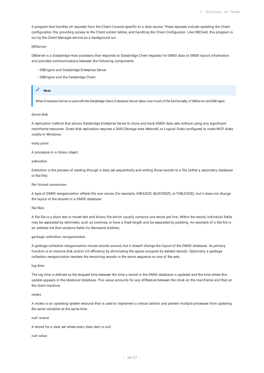A program that handles all requests from the Client Console specific to a data source. These requests include updating the Client configuration file, providing access to the Client control tables, and handling the Client Configurator. Like DBClient, this program is run by the Client Manager service as a background run.

#### **DBServer**

DBServer is a Databridge Host accessory that responds to Databridge Client requests for DMSII data or DMSII layout information and provides communications between the following components:

- DBEngine and Databridge Enterprise Server
- DBEngine and the Databridge Client

#### **Note**

When Enterprise Server is used with the Databridge Client. Enterprise Server takes over much of the functionality of DBServer and DBEngine.

#### **direct disk**

A replication method that allows Databridge Enterprise Server to clone and track DMSII data sets without using any significant mainframe resources. Direct disk replication requires a SAN (Storage Area Network) or Logical Disks configured to make MCP disks visible in Windows.

#### **entry point**

A procedure in a library object.

#### **extraction**

Extraction is the process of reading through a data set sequentially and writing those records to a file (either a secondary database or flat file).

#### **file format conversion**

A type of DMSII reorganization affects file size values (for example, AREASIZE, BLOCKSIZE, or TABLESIZE), but it does not change the layout of the records in a DMSII database.

#### **flat files**

A flat file is a plain text or mixed text and binary file which usually contains one record per line. Within the record, individual fields may be separated by delimiters, such as commas, or have a fixed length and be separated by padding. An example of a flat file is an address list that contains fields for *Name*and *Address*.

#### **garbage collection reorganization**

A garbage collection reorganization moves records around, but it doesn't change the layout of the DMSII database. Its primary function is to improve disk and/or I/O efficiency by eliminating the space occupied by deleted records. Optionally, a garbage collection reorganization reorders the remaining records in the same sequence as one of the sets.

#### **lag time**

The lag time is defined as the elapsed time between the time a record in the DMSII database is updated and the time where this update appears in the relational database. This value accounts for any difference between the clock on the mainframe and that on the client machine.

#### **mutex**

A mutex is an operating system resource that is used to implement a critical section and prevent multiple processes from updating the same variables at the same time.

#### **null record**

A record for a data set where every data item is null.

**null value**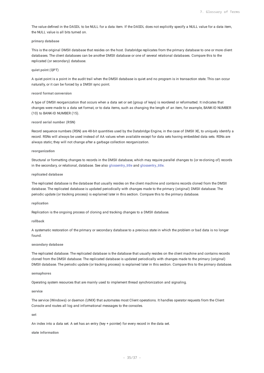The value defined in the DASDL to be NULL for a data item. If the DASDL does not explicitly specify a NULL value for a data item, the NULL value is all bits turned on.

#### **primary database**

This is the original DMSII database that resides on the host. Databridge replicates from the primary database to one or more client databases. The client databases can be another DMSII database or one of several relational databases. Compare this to the replicated (or secondary) database.

#### **quiet point (QPT)**

A quiet point is a point in the audit trail when the DMSII database is quiet and no program is in transaction state. This can occur naturally, or it can be forced by a DMSII sync point.

#### **record format conversion**

A type of DMSII reorganization that occurs when a data set or set (group of keys) is reordered or reformatted. It indicates that changes were made to a data set format, or to data items, such as changing the length of an item, for example, BANK-ID NUMBER (10) to BANK-ID NUMBER (15).

#### **record serial number (RSN)**

Record sequence numbers (RSN) are 48-bit quantities used by the Databridge Engine, in the case of DMSII XE, to uniquely identify a record. RSNs will always be used instead of AA values when available except for data sets having embedded data sets. RSNs are always static; they will not change after a garbage collection reorganization.

#### **reorganization**

Structural or formatting changes to records in the DMSII database, which may require parallel changes to (or re-cloning of) records in the secondary, or relational, database. See also glossentry\_title and glossentry\_title.

#### **replicated database**

The replicated database is the database that usually resides on the client machine and contains records cloned from the DMSII database. The replicated database is updated periodically with changes made to the primary (original) DMSII database. The periodic update (or tracking process) is explained later in this section. Compare this to the primary database.

#### **replication**

Replication is the ongoing process of cloning and tracking changes to a DMSII database.

#### **rollback**

A systematic restoration of the primary or secondary database to a previous state in which the problem or bad data is no longer found.

#### **secondary database**

The replicated database. The replicated database is the database that usually resides on the client machine and contains records cloned from the DMSII database. The replicated database is updated periodically with changes made to the primary (original) DMSII database. The periodic update (or tracking process) is explained later in this section. Compare this to the primary database.

#### **semaphores**

Operating system resources that are mainly used to implement thread synchronization and signaling.

#### **service**

The service (Windows) or daemon (UNIX) that automates most Client operations. It handles operator requests from the Client Console and routes all log and informational messages to the consoles.

#### **set**

An index into a data set. A set has an entry (key + pointer) for every record in the data set.

#### **state information**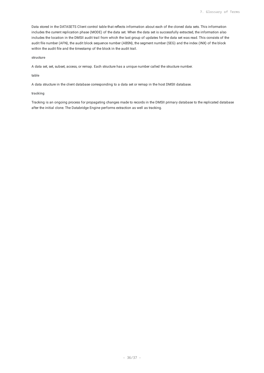Data stored in the DATASETS Client control table that reflects information about each of the cloned data sets. This information includes the current replication phase (MODE) of the data set. When the data set is successfully extracted, the information also includes the location in the DMSII audit trail from which the last group of updates for the data set was read. This consists of the audit file number (AFN), the audit block sequence number (ABSN), the segment number (SEG) and the index (INX) of the block within the audit file and the timestamp of the block in the audit trail.

**structure**

A data set, set, subset, access, or remap. Each structure has a unique number called the structure number.

**table**

A data structure in the client database corresponding to a data set or remap in the host DMSII database.

#### **tracking**

Tracking is an ongoing process for propagating changes made to records in the DMSII primary database to the replicated database after the initial clone. The Databridge Engine performs extraction as well as tracking.